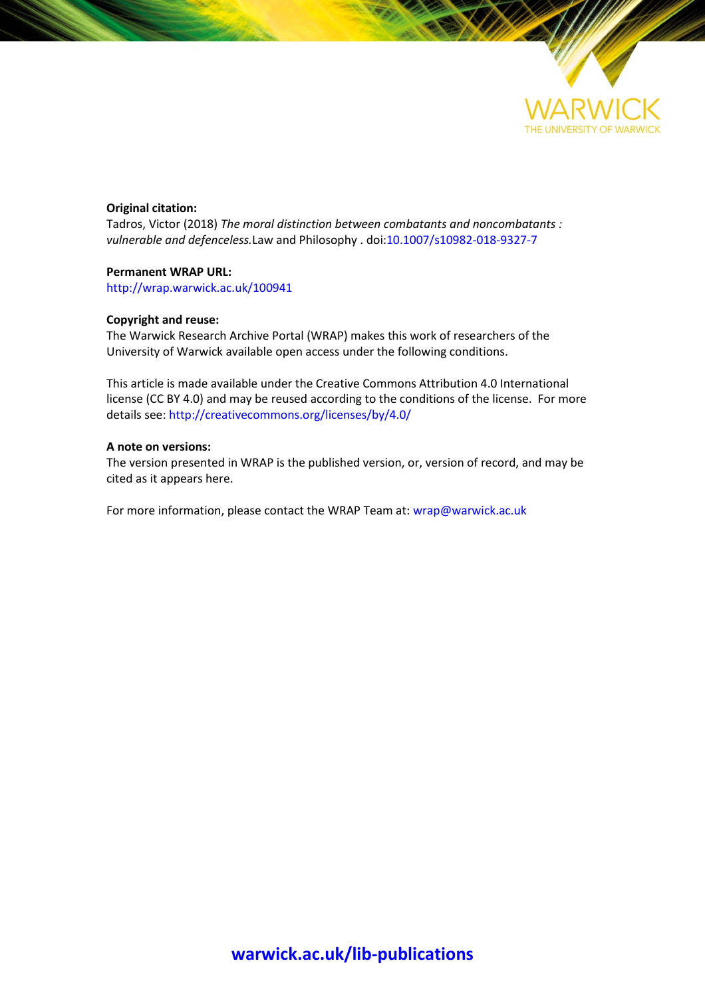

# **Original citation:**

Tadros, Victor (2018) *The moral distinction between combatants and noncombatants : vulnerable and defenceless.*Law and Philosophy . doi[:10.1007/s10982-018-9327-7](http://dx.doi.org/10.1007/s10982-018-9327-7)

## **Permanent WRAP URL:**

<http://wrap.warwick.ac.uk/100941>

# **Copyright and reuse:**

The Warwick Research Archive Portal (WRAP) makes this work of researchers of the University of Warwick available open access under the following conditions.

This article is made available under the Creative Commons Attribution 4.0 International license (CC BY 4.0) and may be reused according to the conditions of the license. For more details see[: http://creativecommons.org/licenses/by/4.0/](http://creativecommons.org/licenses/by/4.0/) 

# **A note on versions:**

The version presented in WRAP is the published version, or, version of record, and may be cited as it appears here.

For more information, please contact the WRAP Team at[: wrap@warwick.ac.uk](mailto:wrap@warwick.ac.uk)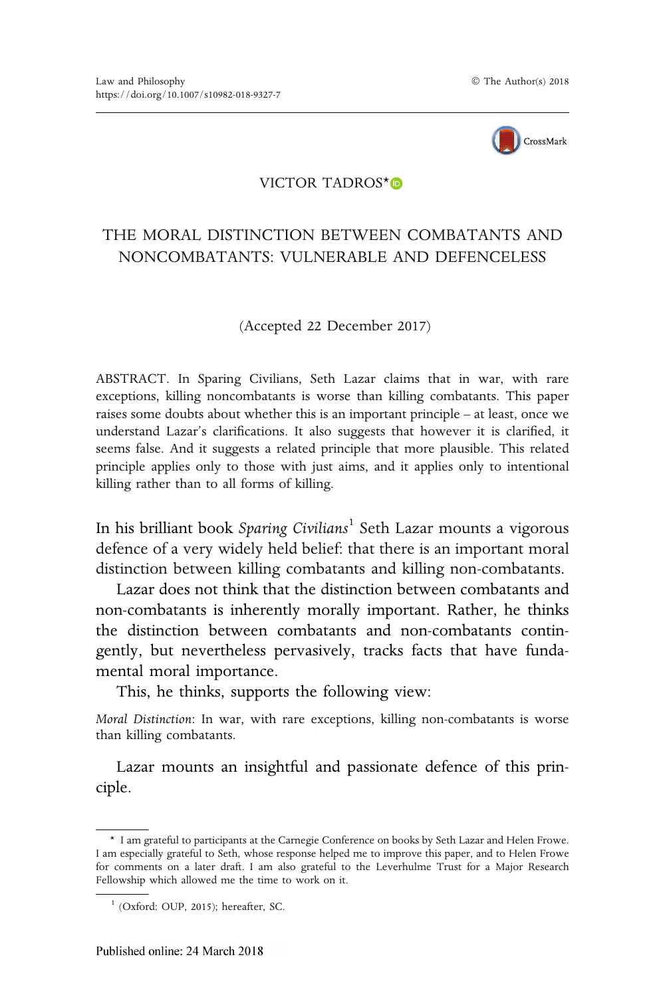

# THE MORAL DISTINCTION BETWEEN COMBATANTS AND NONCOMBATANTS: VULNERABLE AND DEFENCELESS

# (Accepted 22 December 2017)

ABSTRACT. In Sparing Civilians, Seth Lazar claims that in war, with rare exceptions, killing noncombatants is worse than killing combatants. This paper raises some doubts about whether this is an important principle – at least, once we understand Lazar's clarifications. It also suggests that however it is clarified, it seems false. And it suggests a related principle that more plausible. This related principle applies only to those with just aims, and it applies only to intentional killing rather than to all forms of killing.

In his brilliant book Sparing Civilians<sup>1</sup> Seth Lazar mounts a vigorous defence of a very widely held belief: that there is an important moral distinction between killing combatants and killing non-combatants.

Lazar does not think that the distinction between combatants and non-combatants is inherently morally important. Rather, he thinks the distinction between combatants and non-combatants contingently, but nevertheless pervasively, tracks facts that have fundamental moral importance.

This, he thinks, supports the following view:

Moral Distinction: In war, with rare exceptions, killing non-combatants is worse than killing combatants.

Lazar mounts an insightful and passionate defence of this principle.

<sup>\*</sup> I am grateful to participants at the Carnegie Conference on books by Seth Lazar and Helen Frowe. I am especially grateful to Seth, whose response helped me to improve this paper, and to Helen Frowe for comments on a later draft. I am also grateful to the Leverhulme Trust for a Major Research Fellowship which allowed me the time to work on it.

 $<sup>1</sup>$  (Oxford: OUP, 2015); hereafter, SC.</sup>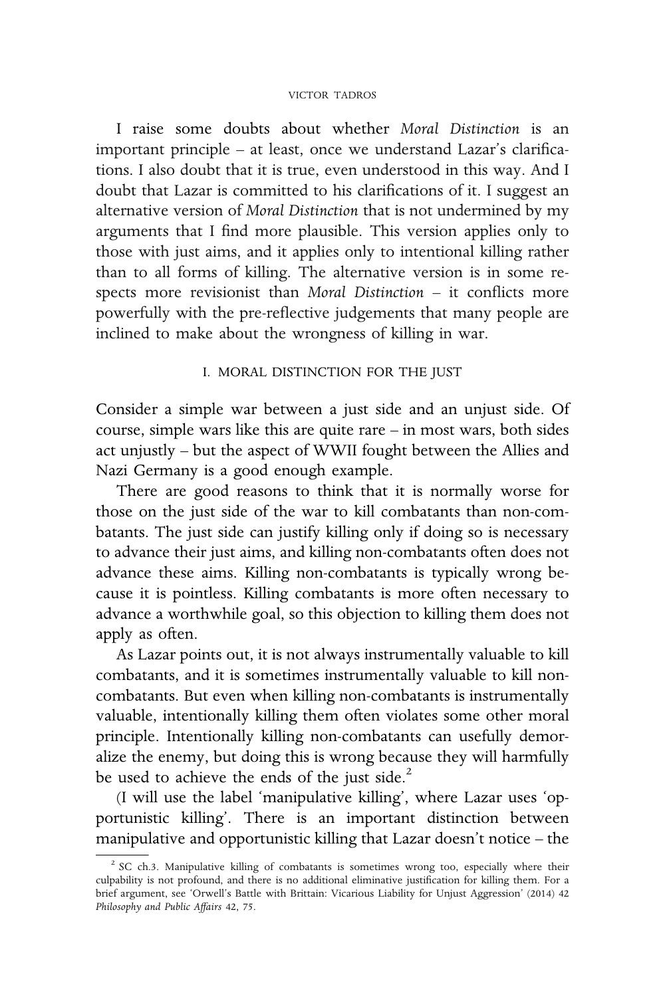I raise some doubts about whether Moral Distinction is an important principle – at least, once we understand Lazar's clarifications. I also doubt that it is true, even understood in this way. And I doubt that Lazar is committed to his clarifications of it. I suggest an alternative version of Moral Distinction that is not undermined by my arguments that I find more plausible. This version applies only to those with just aims, and it applies only to intentional killing rather than to all forms of killing. The alternative version is in some respects more revisionist than Moral Distinction – it conflicts more powerfully with the pre-reflective judgements that many people are inclined to make about the wrongness of killing in war.

### I. MORAL DISTINCTION FOR THE JUST

Consider a simple war between a just side and an unjust side. Of course, simple wars like this are quite rare – in most wars, both sides act unjustly – but the aspect of WWII fought between the Allies and Nazi Germany is a good enough example.

There are good reasons to think that it is normally worse for those on the just side of the war to kill combatants than non-combatants. The just side can justify killing only if doing so is necessary to advance their just aims, and killing non-combatants often does not advance these aims. Killing non-combatants is typically wrong because it is pointless. Killing combatants is more often necessary to advance a worthwhile goal, so this objection to killing them does not apply as often.

As Lazar points out, it is not always instrumentally valuable to kill combatants, and it is sometimes instrumentally valuable to kill noncombatants. But even when killing non-combatants is instrumentally valuable, intentionally killing them often violates some other moral principle. Intentionally killing non-combatants can usefully demoralize the enemy, but doing this is wrong because they will harmfully be used to achieve the ends of the just side.<sup>2</sup>

(I will use the label 'manipulative killing', where Lazar uses 'opportunistic killing'. There is an important distinction between manipulative and opportunistic killing that Lazar doesn't notice – the

<sup>&</sup>lt;sup>2</sup> SC ch.3. Manipulative killing of combatants is sometimes wrong too, especially where their culpability is not profound, and there is no additional eliminative justification for killing them. For a brief argument, see 'Orwell's Battle with Brittain: Vicarious Liability for Unjust Aggression' (2014) 42 Philosophy and Public Affairs 42, 75.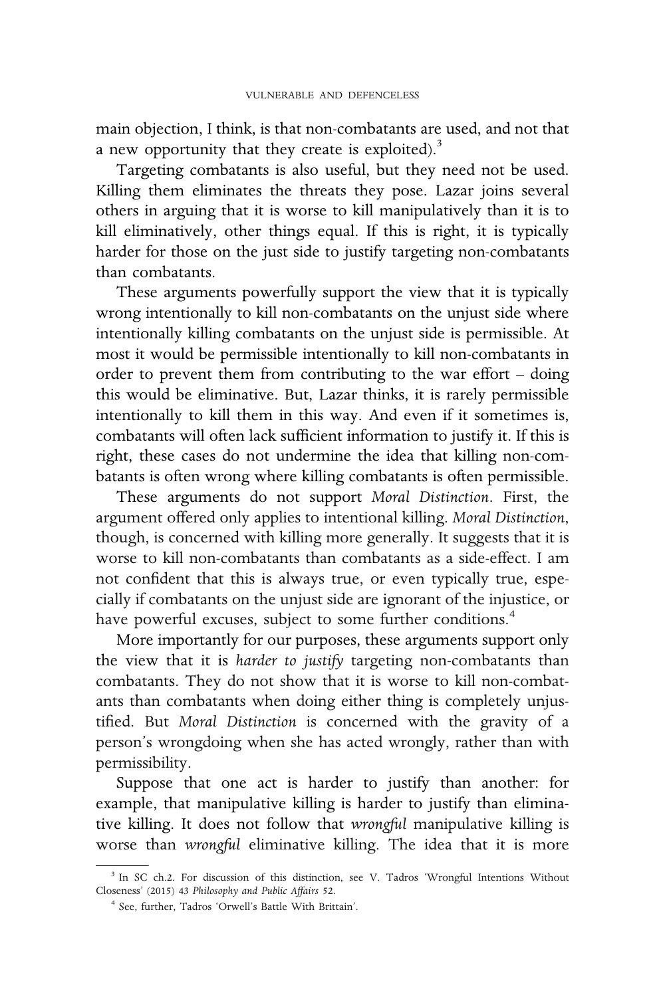main objection, I think, is that non-combatants are used, and not that a new opportunity that they create is exploited). $3$ 

Targeting combatants is also useful, but they need not be used. Killing them eliminates the threats they pose. Lazar joins several others in arguing that it is worse to kill manipulatively than it is to kill eliminatively, other things equal. If this is right, it is typically harder for those on the just side to justify targeting non-combatants than combatants.

These arguments powerfully support the view that it is typically wrong intentionally to kill non-combatants on the unjust side where intentionally killing combatants on the unjust side is permissible. At most it would be permissible intentionally to kill non-combatants in order to prevent them from contributing to the war effort – doing this would be eliminative. But, Lazar thinks, it is rarely permissible intentionally to kill them in this way. And even if it sometimes is, combatants will often lack sufficient information to justify it. If this is right, these cases do not undermine the idea that killing non-combatants is often wrong where killing combatants is often permissible.

These arguments do not support Moral Distinction. First, the argument offered only applies to intentional killing. Moral Distinction, though, is concerned with killing more generally. It suggests that it is worse to kill non-combatants than combatants as a side-effect. I am not confident that this is always true, or even typically true, especially if combatants on the unjust side are ignorant of the injustice, or have powerful excuses, subject to some further conditions.<sup>4</sup>

More importantly for our purposes, these arguments support only the view that it is harder to justify targeting non-combatants than combatants. They do not show that it is worse to kill non-combatants than combatants when doing either thing is completely unjustified. But Moral Distinction is concerned with the gravity of a person's wrongdoing when she has acted wrongly, rather than with permissibility.

Suppose that one act is harder to justify than another: for example, that manipulative killing is harder to justify than eliminative killing. It does not follow that wrongful manipulative killing is worse than wrongful eliminative killing. The idea that it is more

<sup>&</sup>lt;sup>3</sup> In SC ch.2. For discussion of this distinction, see V. Tadros 'Wrongful Intentions Without Closeness' (2015) 43 Philosophy and Public Affairs 52.

<sup>4</sup> See, further, Tadros 'Orwell's Battle With Brittain'.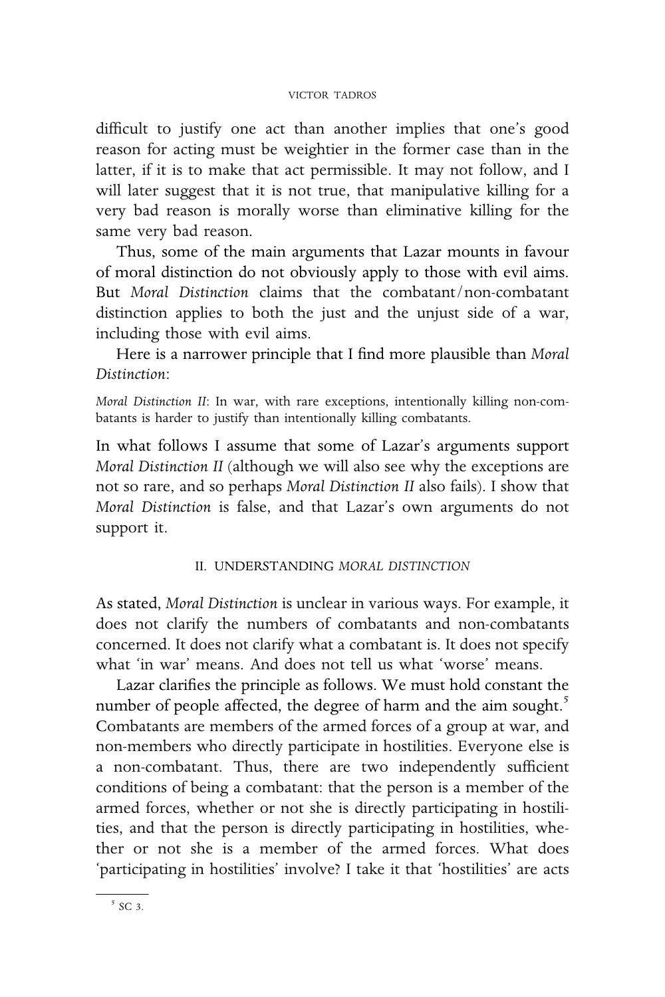difficult to justify one act than another implies that one's good reason for acting must be weightier in the former case than in the latter, if it is to make that act permissible. It may not follow, and I will later suggest that it is not true, that manipulative killing for a very bad reason is morally worse than eliminative killing for the same very bad reason.

Thus, some of the main arguments that Lazar mounts in favour of moral distinction do not obviously apply to those with evil aims. But Moral Distinction claims that the combatant/non-combatant distinction applies to both the just and the unjust side of a war, including those with evil aims.

Here is a narrower principle that I find more plausible than Moral Distinction:

Moral Distinction II: In war, with rare exceptions, intentionally killing non-combatants is harder to justify than intentionally killing combatants.

In what follows I assume that some of Lazar's arguments support Moral Distinction II (although we will also see why the exceptions are not so rare, and so perhaps Moral Distinction II also fails). I show that Moral Distinction is false, and that Lazar's own arguments do not support it.

### II. UNDERSTANDING MORAL DISTINCTION

As stated, Moral Distinction is unclear in various ways. For example, it does not clarify the numbers of combatants and non-combatants concerned. It does not clarify what a combatant is. It does not specify what 'in war' means. And does not tell us what 'worse' means.

Lazar clarifies the principle as follows. We must hold constant the number of people affected, the degree of harm and the aim sought.<sup>5</sup> Combatants are members of the armed forces of a group at war, and non-members who directly participate in hostilities. Everyone else is a non-combatant. Thus, there are two independently sufficient conditions of being a combatant: that the person is a member of the armed forces, whether or not she is directly participating in hostilities, and that the person is directly participating in hostilities, whether or not she is a member of the armed forces. What does 'participating in hostilities' involve? I take it that 'hostilities' are acts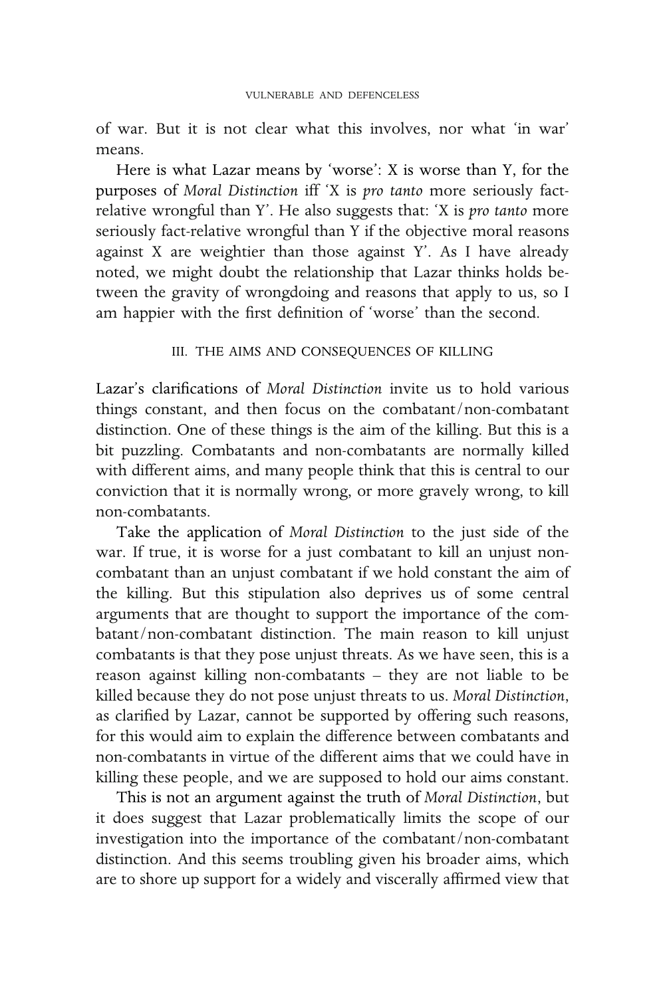of war. But it is not clear what this involves, nor what 'in war' means.

Here is what Lazar means by 'worse': X is worse than Y, for the purposes of Moral Distinction iff 'X is pro tanto more seriously factrelative wrongful than Y'. He also suggests that: 'X is pro tanto more seriously fact-relative wrongful than Y if the objective moral reasons against X are weightier than those against Y'. As I have already noted, we might doubt the relationship that Lazar thinks holds between the gravity of wrongdoing and reasons that apply to us, so I am happier with the first definition of 'worse' than the second.

### III. THE AIMS AND CONSEQUENCES OF KILLING

Lazar's clarifications of Moral Distinction invite us to hold various things constant, and then focus on the combatant/non-combatant distinction. One of these things is the aim of the killing. But this is a bit puzzling. Combatants and non-combatants are normally killed with different aims, and many people think that this is central to our conviction that it is normally wrong, or more gravely wrong, to kill non-combatants.

Take the application of Moral Distinction to the just side of the war. If true, it is worse for a just combatant to kill an unjust noncombatant than an unjust combatant if we hold constant the aim of the killing. But this stipulation also deprives us of some central arguments that are thought to support the importance of the combatant/non-combatant distinction. The main reason to kill unjust combatants is that they pose unjust threats. As we have seen, this is a reason against killing non-combatants – they are not liable to be killed because they do not pose unjust threats to us. Moral Distinction, as clarified by Lazar, cannot be supported by offering such reasons, for this would aim to explain the difference between combatants and non-combatants in virtue of the different aims that we could have in killing these people, and we are supposed to hold our aims constant.

This is not an argument against the truth of Moral Distinction, but it does suggest that Lazar problematically limits the scope of our investigation into the importance of the combatant/non-combatant distinction. And this seems troubling given his broader aims, which are to shore up support for a widely and viscerally affirmed view that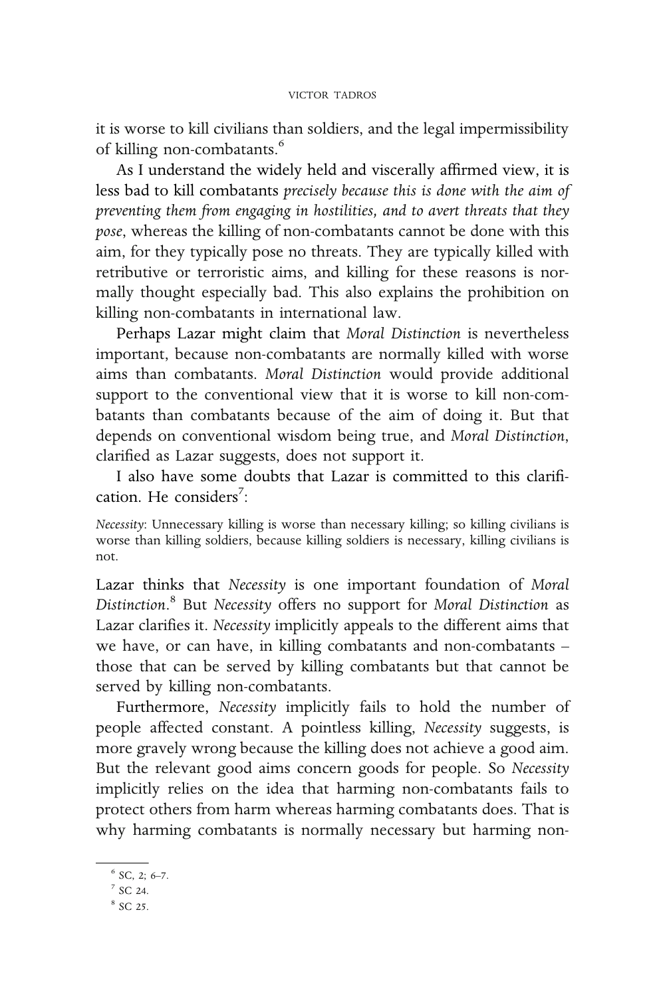it is worse to kill civilians than soldiers, and the legal impermissibility of killing non-combatants.<sup>6</sup>

As I understand the widely held and viscerally affirmed view, it is less bad to kill combatants precisely because this is done with the aim of preventing them from engaging in hostilities, and to avert threats that they pose, whereas the killing of non-combatants cannot be done with this aim, for they typically pose no threats. They are typically killed with retributive or terroristic aims, and killing for these reasons is normally thought especially bad. This also explains the prohibition on killing non-combatants in international law.

Perhaps Lazar might claim that Moral Distinction is nevertheless important, because non-combatants are normally killed with worse aims than combatants. Moral Distinction would provide additional support to the conventional view that it is worse to kill non-combatants than combatants because of the aim of doing it. But that depends on conventional wisdom being true, and Moral Distinction, clarified as Lazar suggests, does not support it.

I also have some doubts that Lazar is committed to this clarification. He considers<sup>7</sup>:

Necessity: Unnecessary killing is worse than necessary killing; so killing civilians is worse than killing soldiers, because killing soldiers is necessary, killing civilians is not.

Lazar thinks that Necessity is one important foundation of Moral Distinction. <sup>8</sup> But Necessity offers no support for Moral Distinction as Lazar clarifies it. Necessity implicitly appeals to the different aims that we have, or can have, in killing combatants and non-combatants – those that can be served by killing combatants but that cannot be served by killing non-combatants.

Furthermore, Necessity implicitly fails to hold the number of people affected constant. A pointless killing, Necessity suggests, is more gravely wrong because the killing does not achieve a good aim. But the relevant good aims concern goods for people. So Necessity implicitly relies on the idea that harming non-combatants fails to protect others from harm whereas harming combatants does. That is why harming combatants is normally necessary but harming non-

 $6$  SC, 2: 6–7.

<sup>7</sup> SC 24.

<sup>8</sup> SC 25.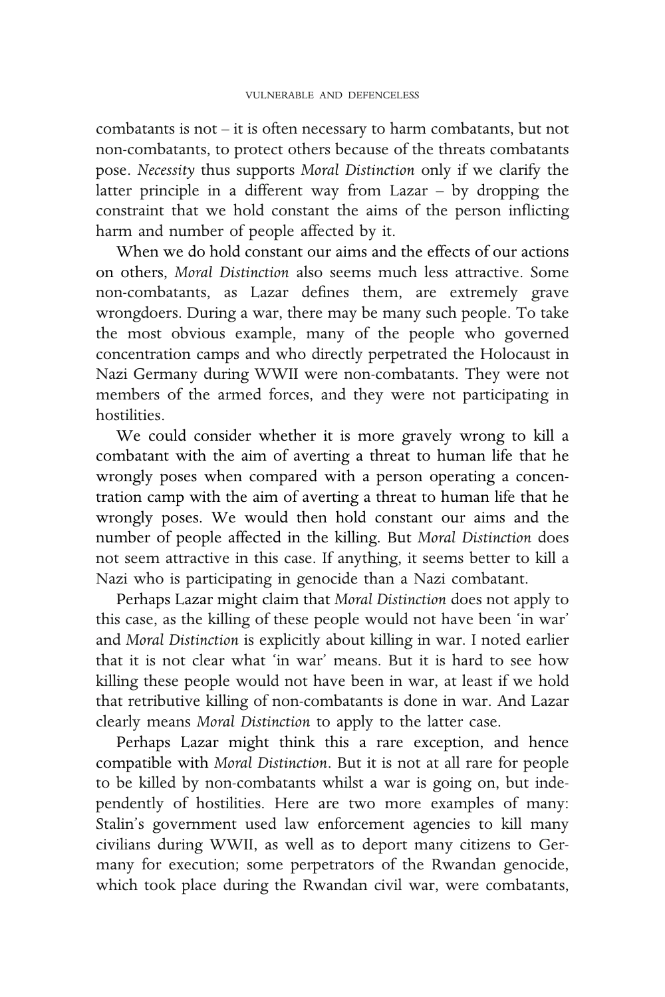combatants is not – it is often necessary to harm combatants, but not non-combatants, to protect others because of the threats combatants pose. Necessity thus supports Moral Distinction only if we clarify the latter principle in a different way from Lazar – by dropping the constraint that we hold constant the aims of the person inflicting harm and number of people affected by it.

When we do hold constant our aims and the effects of our actions on others, Moral Distinction also seems much less attractive. Some non-combatants, as Lazar defines them, are extremely grave wrongdoers. During a war, there may be many such people. To take the most obvious example, many of the people who governed concentration camps and who directly perpetrated the Holocaust in Nazi Germany during WWII were non-combatants. They were not members of the armed forces, and they were not participating in hostilities.

We could consider whether it is more gravely wrong to kill a combatant with the aim of averting a threat to human life that he wrongly poses when compared with a person operating a concentration camp with the aim of averting a threat to human life that he wrongly poses. We would then hold constant our aims and the number of people affected in the killing. But Moral Distinction does not seem attractive in this case. If anything, it seems better to kill a Nazi who is participating in genocide than a Nazi combatant.

Perhaps Lazar might claim that Moral Distinction does not apply to this case, as the killing of these people would not have been 'in war' and Moral Distinction is explicitly about killing in war. I noted earlier that it is not clear what 'in war' means. But it is hard to see how killing these people would not have been in war, at least if we hold that retributive killing of non-combatants is done in war. And Lazar clearly means Moral Distinction to apply to the latter case.

Perhaps Lazar might think this a rare exception, and hence compatible with Moral Distinction. But it is not at all rare for people to be killed by non-combatants whilst a war is going on, but independently of hostilities. Here are two more examples of many: Stalin's government used law enforcement agencies to kill many civilians during WWII, as well as to deport many citizens to Germany for execution; some perpetrators of the Rwandan genocide, which took place during the Rwandan civil war, were combatants,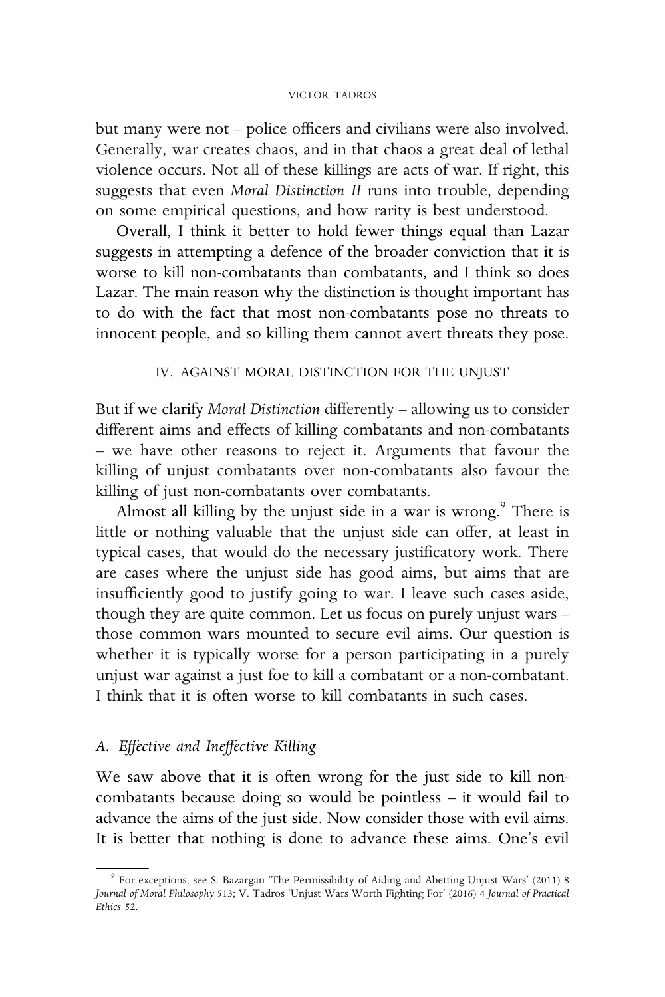but many were not – police officers and civilians were also involved. Generally, war creates chaos, and in that chaos a great deal of lethal violence occurs. Not all of these killings are acts of war. If right, this suggests that even Moral Distinction II runs into trouble, depending on some empirical questions, and how rarity is best understood.

Overall, I think it better to hold fewer things equal than Lazar suggests in attempting a defence of the broader conviction that it is worse to kill non-combatants than combatants, and I think so does Lazar. The main reason why the distinction is thought important has to do with the fact that most non-combatants pose no threats to innocent people, and so killing them cannot avert threats they pose.

### IV. AGAINST MORAL DISTINCTION FOR THE UNJUST

But if we clarify Moral Distinction differently – allowing us to consider different aims and effects of killing combatants and non-combatants – we have other reasons to reject it. Arguments that favour the killing of unjust combatants over non-combatants also favour the killing of just non-combatants over combatants.

Almost all killing by the unjust side in a war is wrong. $9$  There is little or nothing valuable that the unjust side can offer, at least in typical cases, that would do the necessary justificatory work. There are cases where the unjust side has good aims, but aims that are insufficiently good to justify going to war. I leave such cases aside, though they are quite common. Let us focus on purely unjust wars – those common wars mounted to secure evil aims. Our question is whether it is typically worse for a person participating in a purely unjust war against a just foe to kill a combatant or a non-combatant. I think that it is often worse to kill combatants in such cases.

# A. Effective and Ineffective Killing

We saw above that it is often wrong for the just side to kill noncombatants because doing so would be pointless – it would fail to advance the aims of the just side. Now consider those with evil aims. It is better that nothing is done to advance these aims. One's evil

<sup>9</sup> For exceptions, see S. Bazargan 'The Permissibility of Aiding and Abetting Unjust Wars' (2011) 8 Journal of Moral Philosophy 513; V. Tadros 'Unjust Wars Worth Fighting For' (2016) 4 Journal of Practical Ethics 52.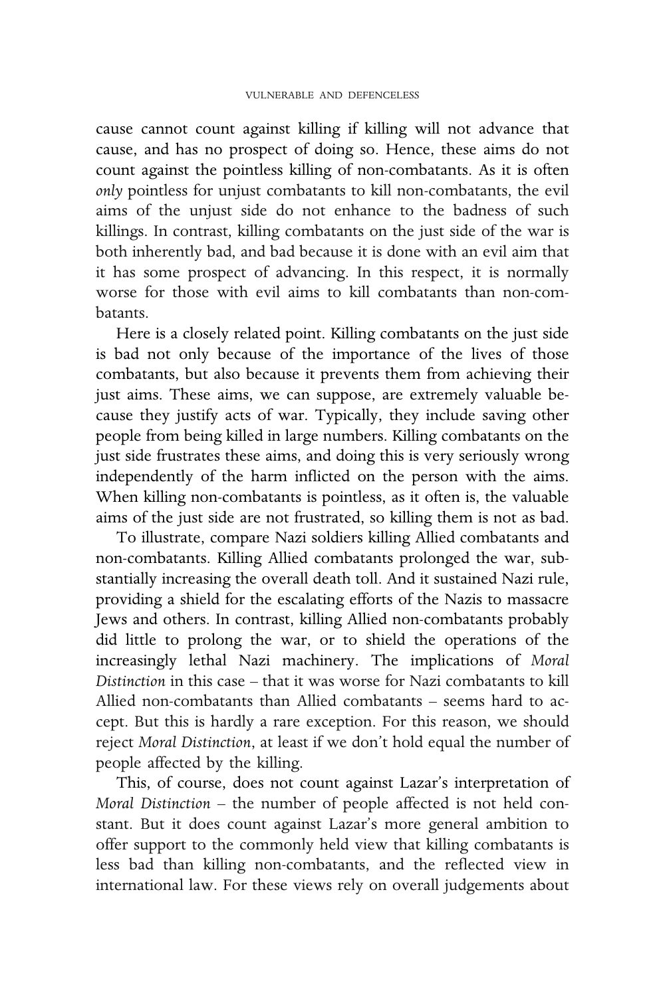cause cannot count against killing if killing will not advance that cause, and has no prospect of doing so. Hence, these aims do not count against the pointless killing of non-combatants. As it is often only pointless for unjust combatants to kill non-combatants, the evil aims of the unjust side do not enhance to the badness of such killings. In contrast, killing combatants on the just side of the war is both inherently bad, and bad because it is done with an evil aim that it has some prospect of advancing. In this respect, it is normally worse for those with evil aims to kill combatants than non-combatants.

Here is a closely related point. Killing combatants on the just side is bad not only because of the importance of the lives of those combatants, but also because it prevents them from achieving their just aims. These aims, we can suppose, are extremely valuable because they justify acts of war. Typically, they include saving other people from being killed in large numbers. Killing combatants on the just side frustrates these aims, and doing this is very seriously wrong independently of the harm inflicted on the person with the aims. When killing non-combatants is pointless, as it often is, the valuable aims of the just side are not frustrated, so killing them is not as bad.

To illustrate, compare Nazi soldiers killing Allied combatants and non-combatants. Killing Allied combatants prolonged the war, substantially increasing the overall death toll. And it sustained Nazi rule, providing a shield for the escalating efforts of the Nazis to massacre Jews and others. In contrast, killing Allied non-combatants probably did little to prolong the war, or to shield the operations of the increasingly lethal Nazi machinery. The implications of Moral Distinction in this case – that it was worse for Nazi combatants to kill Allied non-combatants than Allied combatants – seems hard to accept. But this is hardly a rare exception. For this reason, we should reject Moral Distinction, at least if we don't hold equal the number of people affected by the killing.

This, of course, does not count against Lazar's interpretation of Moral Distinction – the number of people affected is not held constant. But it does count against Lazar's more general ambition to offer support to the commonly held view that killing combatants is less bad than killing non-combatants, and the reflected view in international law. For these views rely on overall judgements about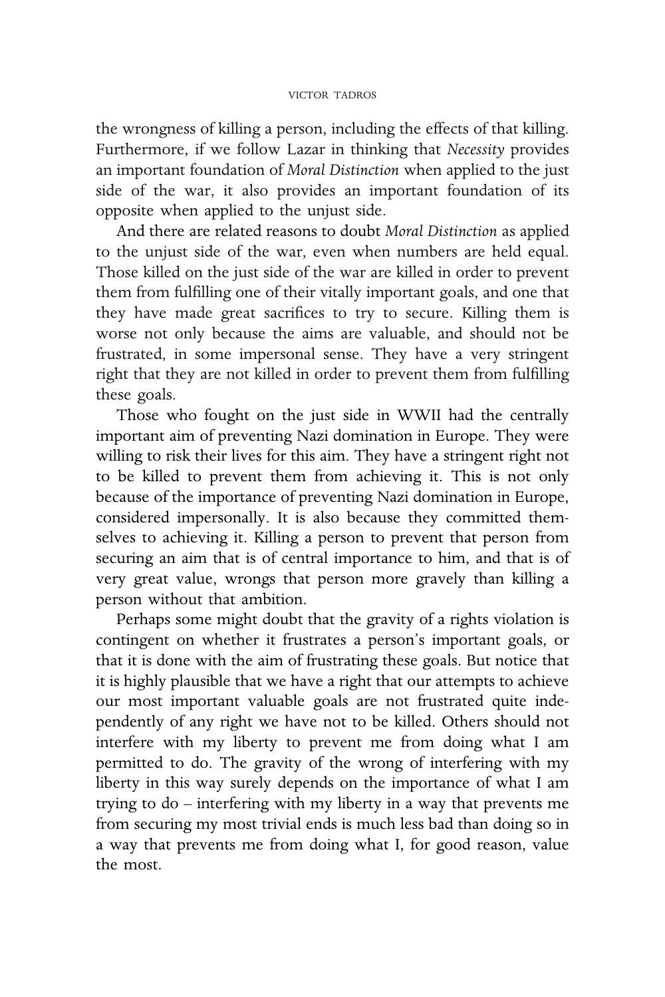the wrongness of killing a person, including the effects of that killing. Furthermore, if we follow Lazar in thinking that Necessity provides an important foundation of Moral Distinction when applied to the just side of the war, it also provides an important foundation of its opposite when applied to the unjust side.

And there are related reasons to doubt Moral Distinction as applied to the unjust side of the war, even when numbers are held equal. Those killed on the just side of the war are killed in order to prevent them from fulfilling one of their vitally important goals, and one that they have made great sacrifices to try to secure. Killing them is worse not only because the aims are valuable, and should not be frustrated, in some impersonal sense. They have a very stringent right that they are not killed in order to prevent them from fulfilling these goals.

Those who fought on the just side in WWII had the centrally important aim of preventing Nazi domination in Europe. They were willing to risk their lives for this aim. They have a stringent right not to be killed to prevent them from achieving it. This is not only because of the importance of preventing Nazi domination in Europe, considered impersonally. It is also because they committed themselves to achieving it. Killing a person to prevent that person from securing an aim that is of central importance to him, and that is of very great value, wrongs that person more gravely than killing a person without that ambition.

Perhaps some might doubt that the gravity of a rights violation is contingent on whether it frustrates a person's important goals, or that it is done with the aim of frustrating these goals. But notice that it is highly plausible that we have a right that our attempts to achieve our most important valuable goals are not frustrated quite independently of any right we have not to be killed. Others should not interfere with my liberty to prevent me from doing what I am permitted to do. The gravity of the wrong of interfering with my liberty in this way surely depends on the importance of what I am trying to do – interfering with my liberty in a way that prevents me from securing my most trivial ends is much less bad than doing so in a way that prevents me from doing what I, for good reason, value the most.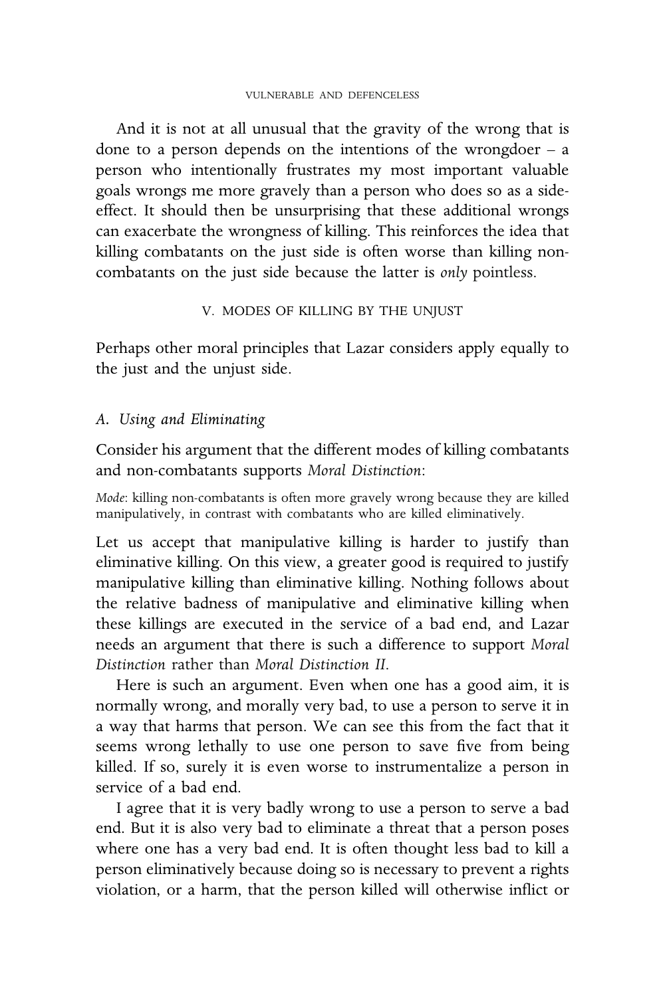And it is not at all unusual that the gravity of the wrong that is done to a person depends on the intentions of the wrongdoer – a person who intentionally frustrates my most important valuable goals wrongs me more gravely than a person who does so as a sideeffect. It should then be unsurprising that these additional wrongs can exacerbate the wrongness of killing. This reinforces the idea that killing combatants on the just side is often worse than killing noncombatants on the just side because the latter is only pointless.

### V. MODES OF KILLING BY THE UNJUST

Perhaps other moral principles that Lazar considers apply equally to the just and the unjust side.

# A. Using and Eliminating

Consider his argument that the different modes of killing combatants and non-combatants supports Moral Distinction:

Mode: killing non-combatants is often more gravely wrong because they are killed manipulatively, in contrast with combatants who are killed eliminatively.

Let us accept that manipulative killing is harder to justify than eliminative killing. On this view, a greater good is required to justify manipulative killing than eliminative killing. Nothing follows about the relative badness of manipulative and eliminative killing when these killings are executed in the service of a bad end, and Lazar needs an argument that there is such a difference to support Moral Distinction rather than Moral Distinction II.

Here is such an argument. Even when one has a good aim, it is normally wrong, and morally very bad, to use a person to serve it in a way that harms that person. We can see this from the fact that it seems wrong lethally to use one person to save five from being killed. If so, surely it is even worse to instrumentalize a person in service of a bad end.

I agree that it is very badly wrong to use a person to serve a bad end. But it is also very bad to eliminate a threat that a person poses where one has a very bad end. It is often thought less bad to kill a person eliminatively because doing so is necessary to prevent a rights violation, or a harm, that the person killed will otherwise inflict or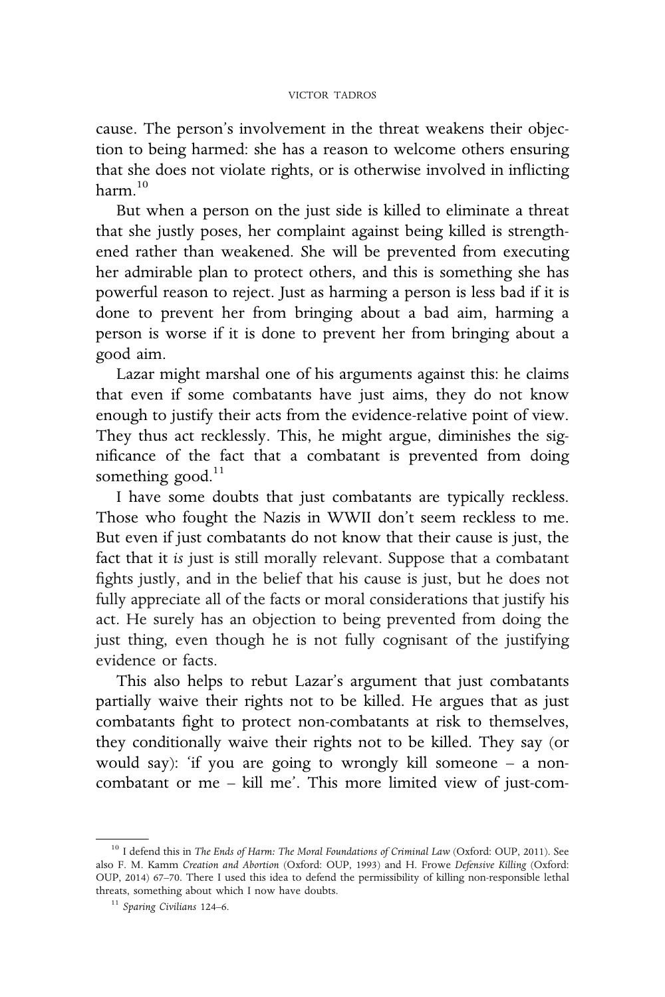cause. The person's involvement in the threat weakens their objection to being harmed: she has a reason to welcome others ensuring that she does not violate rights, or is otherwise involved in inflicting harm $10$ 

But when a person on the just side is killed to eliminate a threat that she justly poses, her complaint against being killed is strengthened rather than weakened. She will be prevented from executing her admirable plan to protect others, and this is something she has powerful reason to reject. Just as harming a person is less bad if it is done to prevent her from bringing about a bad aim, harming a person is worse if it is done to prevent her from bringing about a good aim.

Lazar might marshal one of his arguments against this: he claims that even if some combatants have just aims, they do not know enough to justify their acts from the evidence-relative point of view. They thus act recklessly. This, he might argue, diminishes the significance of the fact that a combatant is prevented from doing something good.<sup>11</sup>

I have some doubts that just combatants are typically reckless. Those who fought the Nazis in WWII don't seem reckless to me. But even if just combatants do not know that their cause is just, the fact that it is just is still morally relevant. Suppose that a combatant fights justly, and in the belief that his cause is just, but he does not fully appreciate all of the facts or moral considerations that justify his act. He surely has an objection to being prevented from doing the just thing, even though he is not fully cognisant of the justifying evidence or facts.

This also helps to rebut Lazar's argument that just combatants partially waive their rights not to be killed. He argues that as just combatants fight to protect non-combatants at risk to themselves, they conditionally waive their rights not to be killed. They say (or would say): 'if you are going to wrongly kill someone – a noncombatant or me – kill me'. This more limited view of just-com-

 $10$  I defend this in The Ends of Harm: The Moral Foundations of Criminal Law (Oxford: OUP, 2011). See also F. M. Kamm Creation and Abortion (Oxford: OUP, 1993) and H. Frowe Defensive Killing (Oxford: OUP, 2014) 67–70. There I used this idea to defend the permissibility of killing non-responsible lethal threats, something about which I now have doubts.

<sup>&</sup>lt;sup>11</sup> Sparing Civilians 124-6.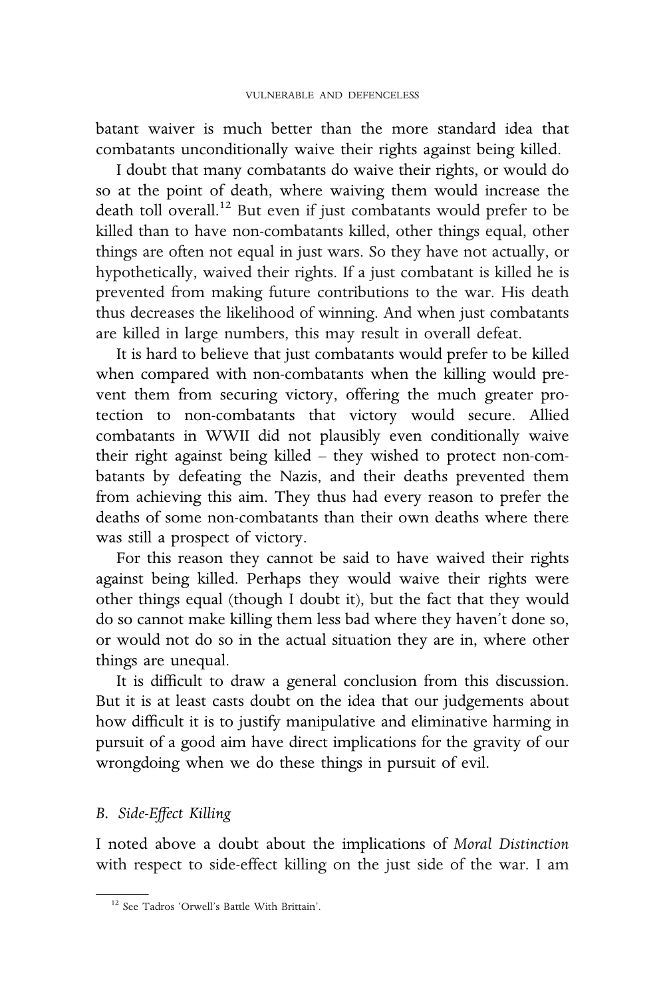batant waiver is much better than the more standard idea that combatants unconditionally waive their rights against being killed.

I doubt that many combatants do waive their rights, or would do so at the point of death, where waiving them would increase the death toll overall.<sup>12</sup> But even if just combatants would prefer to be killed than to have non-combatants killed, other things equal, other things are often not equal in just wars. So they have not actually, or hypothetically, waived their rights. If a just combatant is killed he is prevented from making future contributions to the war. His death thus decreases the likelihood of winning. And when just combatants are killed in large numbers, this may result in overall defeat.

It is hard to believe that just combatants would prefer to be killed when compared with non-combatants when the killing would prevent them from securing victory, offering the much greater protection to non-combatants that victory would secure. Allied combatants in WWII did not plausibly even conditionally waive their right against being killed – they wished to protect non-combatants by defeating the Nazis, and their deaths prevented them from achieving this aim. They thus had every reason to prefer the deaths of some non-combatants than their own deaths where there was still a prospect of victory.

For this reason they cannot be said to have waived their rights against being killed. Perhaps they would waive their rights were other things equal (though I doubt it), but the fact that they would do so cannot make killing them less bad where they haven't done so, or would not do so in the actual situation they are in, where other things are unequal.

It is difficult to draw a general conclusion from this discussion. But it is at least casts doubt on the idea that our judgements about how difficult it is to justify manipulative and eliminative harming in pursuit of a good aim have direct implications for the gravity of our wrongdoing when we do these things in pursuit of evil.

# B. Side-Effect Killing

I noted above a doubt about the implications of Moral Distinction with respect to side-effect killing on the just side of the war. I am

<sup>12</sup> See Tadros 'Orwell's Battle With Brittain'.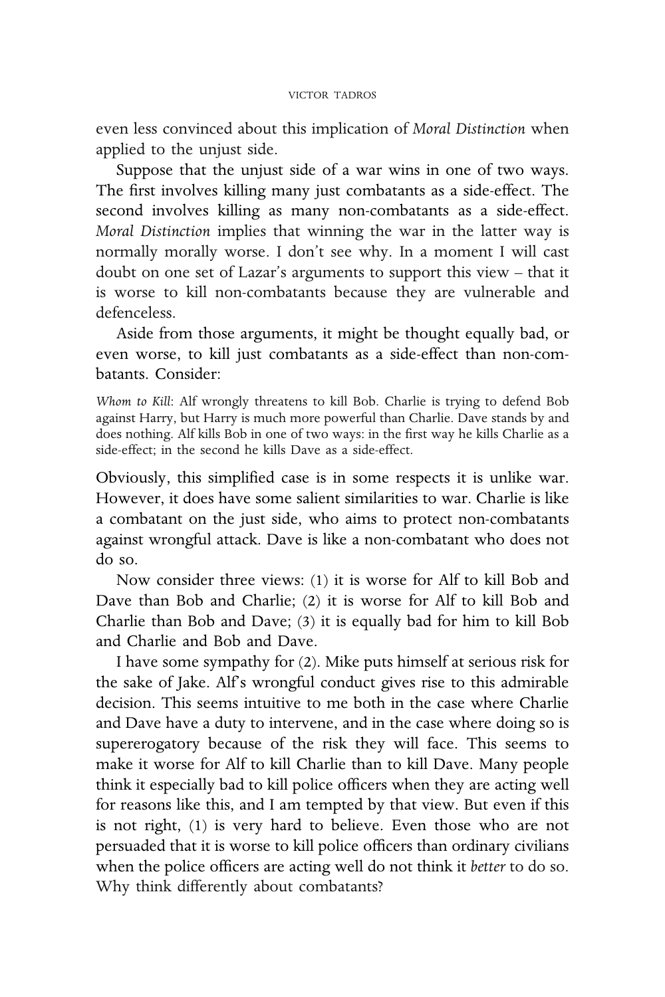even less convinced about this implication of Moral Distinction when applied to the unjust side.

Suppose that the unjust side of a war wins in one of two ways. The first involves killing many just combatants as a side-effect. The second involves killing as many non-combatants as a side-effect. Moral Distinction implies that winning the war in the latter way is normally morally worse. I don't see why. In a moment I will cast doubt on one set of Lazar's arguments to support this view – that it is worse to kill non-combatants because they are vulnerable and defenceless.

Aside from those arguments, it might be thought equally bad, or even worse, to kill just combatants as a side-effect than non-combatants. Consider:

Whom to Kill: Alf wrongly threatens to kill Bob. Charlie is trying to defend Bob against Harry, but Harry is much more powerful than Charlie. Dave stands by and does nothing. Alf kills Bob in one of two ways: in the first way he kills Charlie as a side-effect; in the second he kills Dave as a side-effect.

Obviously, this simplified case is in some respects it is unlike war. However, it does have some salient similarities to war. Charlie is like a combatant on the just side, who aims to protect non-combatants against wrongful attack. Dave is like a non-combatant who does not do so.

Now consider three views: (1) it is worse for Alf to kill Bob and Dave than Bob and Charlie; (2) it is worse for Alf to kill Bob and Charlie than Bob and Dave; (3) it is equally bad for him to kill Bob and Charlie and Bob and Dave.

I have some sympathy for (2). Mike puts himself at serious risk for the sake of Jake. Alf's wrongful conduct gives rise to this admirable decision. This seems intuitive to me both in the case where Charlie and Dave have a duty to intervene, and in the case where doing so is supererogatory because of the risk they will face. This seems to make it worse for Alf to kill Charlie than to kill Dave. Many people think it especially bad to kill police officers when they are acting well for reasons like this, and I am tempted by that view. But even if this is not right, (1) is very hard to believe. Even those who are not persuaded that it is worse to kill police officers than ordinary civilians when the police officers are acting well do not think it better to do so. Why think differently about combatants?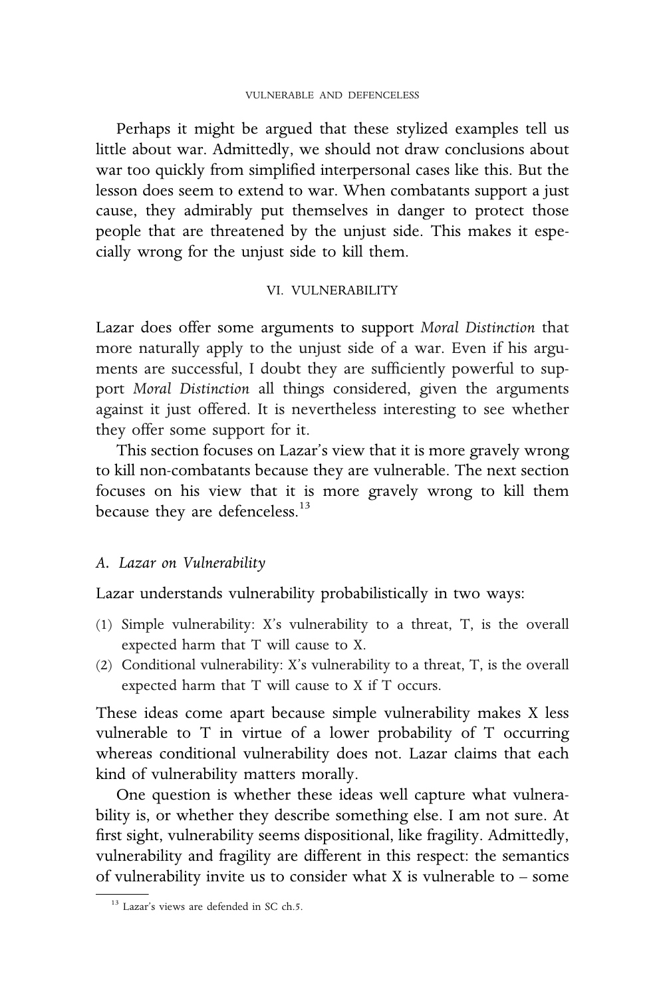Perhaps it might be argued that these stylized examples tell us little about war. Admittedly, we should not draw conclusions about war too quickly from simplified interpersonal cases like this. But the lesson does seem to extend to war. When combatants support a just cause, they admirably put themselves in danger to protect those people that are threatened by the unjust side. This makes it especially wrong for the unjust side to kill them.

## VI. VULNERABILITY

Lazar does offer some arguments to support Moral Distinction that more naturally apply to the unjust side of a war. Even if his arguments are successful, I doubt they are sufficiently powerful to support Moral Distinction all things considered, given the arguments against it just offered. It is nevertheless interesting to see whether they offer some support for it.

This section focuses on Lazar's view that it is more gravely wrong to kill non-combatants because they are vulnerable. The next section focuses on his view that it is more gravely wrong to kill them because they are defenceless.<sup>13</sup>

### A. Lazar on Vulnerability

Lazar understands vulnerability probabilistically in two ways:

- (1) Simple vulnerability: X's vulnerability to a threat, T, is the overall expected harm that T will cause to X.
- (2) Conditional vulnerability: X's vulnerability to a threat, T, is the overall expected harm that T will cause to X if T occurs.

These ideas come apart because simple vulnerability makes X less vulnerable to T in virtue of a lower probability of T occurring whereas conditional vulnerability does not. Lazar claims that each kind of vulnerability matters morally.

One question is whether these ideas well capture what vulnerability is, or whether they describe something else. I am not sure. At first sight, vulnerability seems dispositional, like fragility. Admittedly, vulnerability and fragility are different in this respect: the semantics of vulnerability invite us to consider what X is vulnerable to – some

<sup>&</sup>lt;sup>13</sup> Lazar's views are defended in SC ch.5.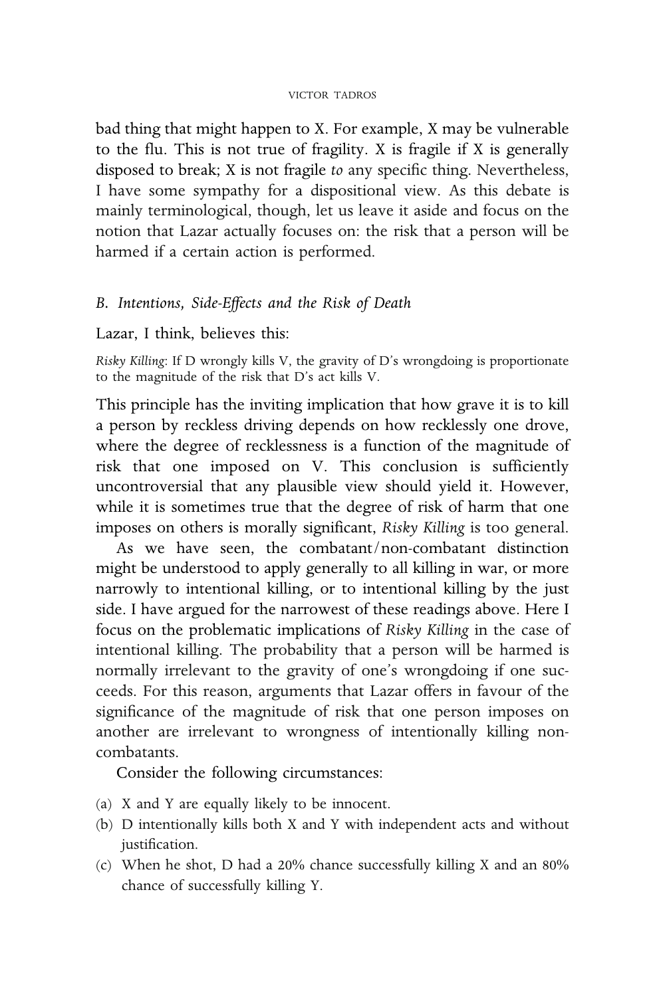bad thing that might happen to X. For example, X may be vulnerable to the flu. This is not true of fragility. X is fragile if X is generally disposed to break; X is not fragile to any specific thing. Nevertheless, I have some sympathy for a dispositional view. As this debate is mainly terminological, though, let us leave it aside and focus on the notion that Lazar actually focuses on: the risk that a person will be harmed if a certain action is performed.

# B. Intentions, Side-Effects and the Risk of Death

# Lazar, I think, believes this:

Risky Killing: If D wrongly kills V, the gravity of D's wrongdoing is proportionate to the magnitude of the risk that D's act kills V.

This principle has the inviting implication that how grave it is to kill a person by reckless driving depends on how recklessly one drove, where the degree of recklessness is a function of the magnitude of risk that one imposed on V. This conclusion is sufficiently uncontroversial that any plausible view should yield it. However, while it is sometimes true that the degree of risk of harm that one imposes on others is morally significant, Risky Killing is too general.

As we have seen, the combatant/non-combatant distinction might be understood to apply generally to all killing in war, or more narrowly to intentional killing, or to intentional killing by the just side. I have argued for the narrowest of these readings above. Here I focus on the problematic implications of Risky Killing in the case of intentional killing. The probability that a person will be harmed is normally irrelevant to the gravity of one's wrongdoing if one succeeds. For this reason, arguments that Lazar offers in favour of the significance of the magnitude of risk that one person imposes on another are irrelevant to wrongness of intentionally killing noncombatants.

Consider the following circumstances:

- (a) X and Y are equally likely to be innocent.
- (b) D intentionally kills both X and Y with independent acts and without justification.
- (c) When he shot, D had a 20% chance successfully killing X and an 80% chance of successfully killing Y.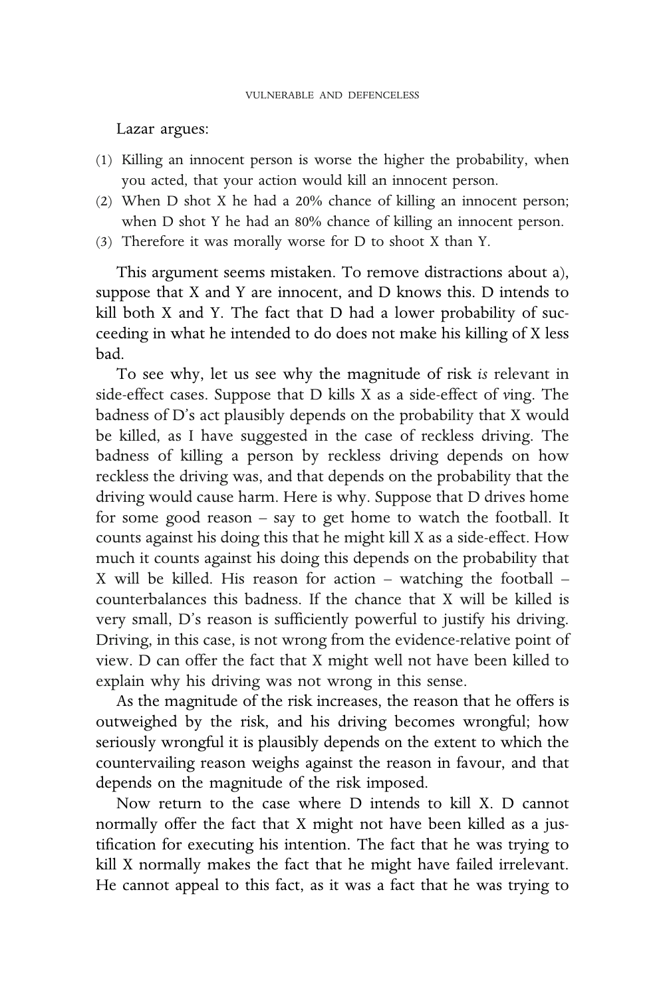Lazar argues:

- (1) Killing an innocent person is worse the higher the probability, when you acted, that your action would kill an innocent person.
- (2) When D shot X he had a 20% chance of killing an innocent person; when D shot Y he had an 80% chance of killing an innocent person.
- (3) Therefore it was morally worse for D to shoot X than Y.

This argument seems mistaken. To remove distractions about a), suppose that X and Y are innocent, and D knows this. D intends to kill both X and Y. The fact that D had a lower probability of succeeding in what he intended to do does not make his killing of X less bad.

To see why, let us see why the magnitude of risk is relevant in side-effect cases. Suppose that D kills X as a side-effect of ving. The badness of D's act plausibly depends on the probability that X would be killed, as I have suggested in the case of reckless driving. The badness of killing a person by reckless driving depends on how reckless the driving was, and that depends on the probability that the driving would cause harm. Here is why. Suppose that D drives home for some good reason – say to get home to watch the football. It counts against his doing this that he might kill X as a side-effect. How much it counts against his doing this depends on the probability that X will be killed. His reason for action – watching the football – counterbalances this badness. If the chance that X will be killed is very small, D's reason is sufficiently powerful to justify his driving. Driving, in this case, is not wrong from the evidence-relative point of view. D can offer the fact that X might well not have been killed to explain why his driving was not wrong in this sense.

As the magnitude of the risk increases, the reason that he offers is outweighed by the risk, and his driving becomes wrongful; how seriously wrongful it is plausibly depends on the extent to which the countervailing reason weighs against the reason in favour, and that depends on the magnitude of the risk imposed.

Now return to the case where D intends to kill X. D cannot normally offer the fact that X might not have been killed as a justification for executing his intention. The fact that he was trying to kill X normally makes the fact that he might have failed irrelevant. He cannot appeal to this fact, as it was a fact that he was trying to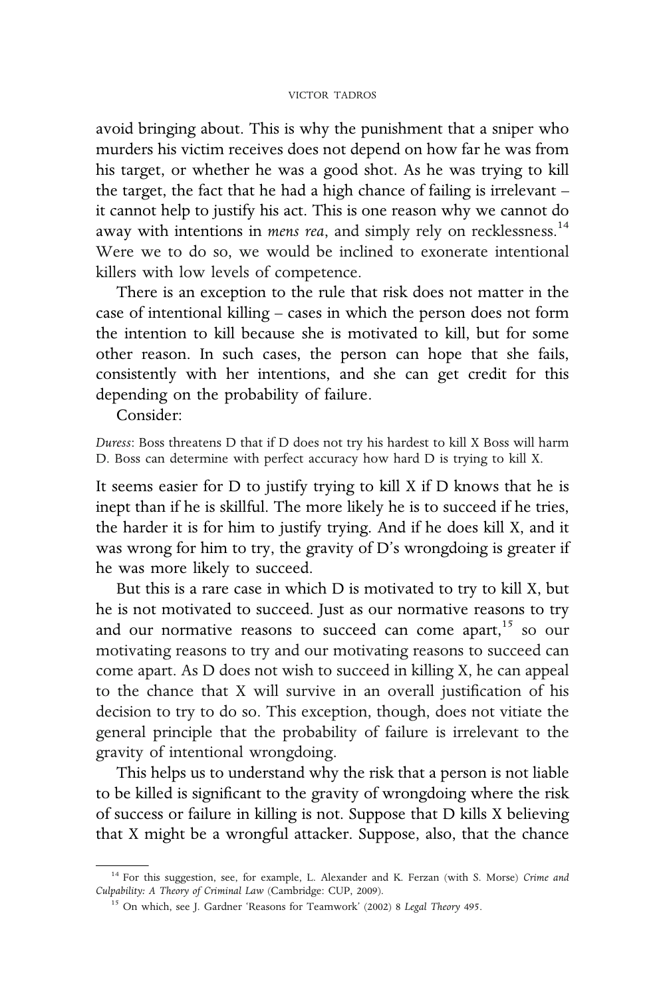avoid bringing about. This is why the punishment that a sniper who murders his victim receives does not depend on how far he was from his target, or whether he was a good shot. As he was trying to kill the target, the fact that he had a high chance of failing is irrelevant – it cannot help to justify his act. This is one reason why we cannot do away with intentions in *mens rea*, and simply rely on recklessness.<sup>14</sup> Were we to do so, we would be inclined to exonerate intentional killers with low levels of competence.

There is an exception to the rule that risk does not matter in the case of intentional killing – cases in which the person does not form the intention to kill because she is motivated to kill, but for some other reason. In such cases, the person can hope that she fails, consistently with her intentions, and she can get credit for this depending on the probability of failure.

Consider:

Duress: Boss threatens D that if D does not try his hardest to kill X Boss will harm D. Boss can determine with perfect accuracy how hard D is trying to kill X.

It seems easier for D to justify trying to kill X if D knows that he is inept than if he is skillful. The more likely he is to succeed if he tries, the harder it is for him to justify trying. And if he does kill X, and it was wrong for him to try, the gravity of D's wrongdoing is greater if he was more likely to succeed.

But this is a rare case in which D is motivated to try to kill X, but he is not motivated to succeed. Just as our normative reasons to try and our normative reasons to succeed can come apart, $15$  so our motivating reasons to try and our motivating reasons to succeed can come apart. As D does not wish to succeed in killing X, he can appeal to the chance that X will survive in an overall justification of his decision to try to do so. This exception, though, does not vitiate the general principle that the probability of failure is irrelevant to the gravity of intentional wrongdoing.

This helps us to understand why the risk that a person is not liable to be killed is significant to the gravity of wrongdoing where the risk of success or failure in killing is not. Suppose that D kills X believing that X might be a wrongful attacker. Suppose, also, that the chance

<sup>&</sup>lt;sup>14</sup> For this suggestion, see, for example, L. Alexander and K. Ferzan (with S. Morse) Crime and Culpability: A Theory of Criminal Law (Cambridge: CUP, 2009).

<sup>&</sup>lt;sup>15</sup> On which, see J. Gardner 'Reasons for Teamwork' (2002) 8 Legal Theory 495.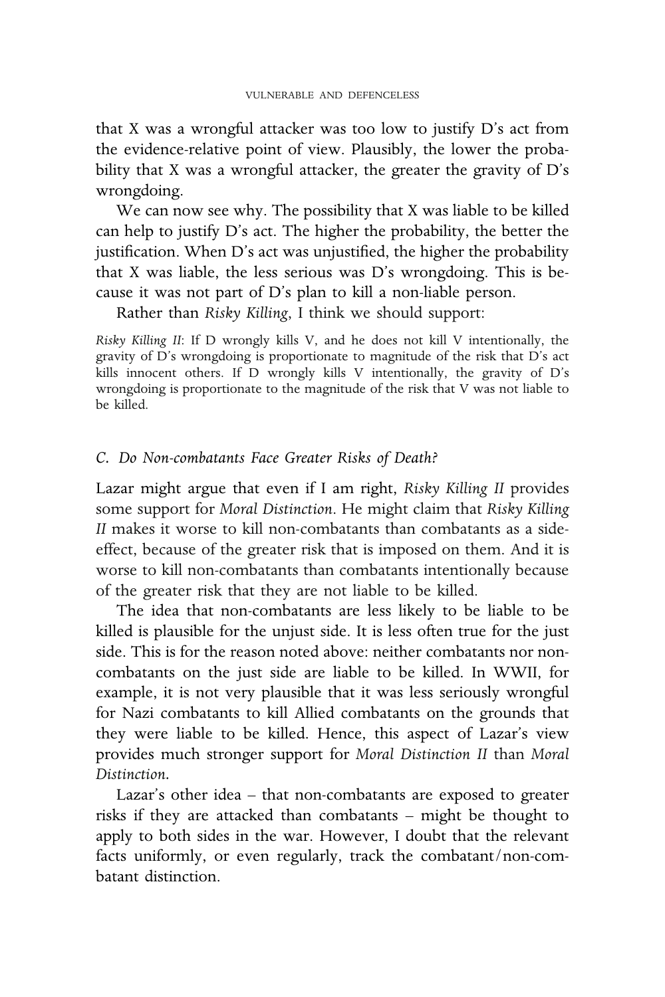that X was a wrongful attacker was too low to justify D's act from the evidence-relative point of view. Plausibly, the lower the probability that X was a wrongful attacker, the greater the gravity of D's wrongdoing.

We can now see why. The possibility that X was liable to be killed can help to justify D's act. The higher the probability, the better the justification. When D's act was unjustified, the higher the probability that X was liable, the less serious was D's wrongdoing. This is because it was not part of D's plan to kill a non-liable person.

Rather than Risky Killing, I think we should support:

Risky Killing II: If D wrongly kills V, and he does not kill V intentionally, the gravity of D's wrongdoing is proportionate to magnitude of the risk that D's act kills innocent others. If D wrongly kills V intentionally, the gravity of D's wrongdoing is proportionate to the magnitude of the risk that V was not liable to be killed.

# C. Do Non-combatants Face Greater Risks of Death?

Lazar might argue that even if I am right, Risky Killing II provides some support for Moral Distinction. He might claim that Risky Killing II makes it worse to kill non-combatants than combatants as a sideeffect, because of the greater risk that is imposed on them. And it is worse to kill non-combatants than combatants intentionally because of the greater risk that they are not liable to be killed.

The idea that non-combatants are less likely to be liable to be killed is plausible for the unjust side. It is less often true for the just side. This is for the reason noted above: neither combatants nor noncombatants on the just side are liable to be killed. In WWII, for example, it is not very plausible that it was less seriously wrongful for Nazi combatants to kill Allied combatants on the grounds that they were liable to be killed. Hence, this aspect of Lazar's view provides much stronger support for Moral Distinction II than Moral Distinction.

Lazar's other idea – that non-combatants are exposed to greater risks if they are attacked than combatants – might be thought to apply to both sides in the war. However, I doubt that the relevant facts uniformly, or even regularly, track the combatant/non-combatant distinction.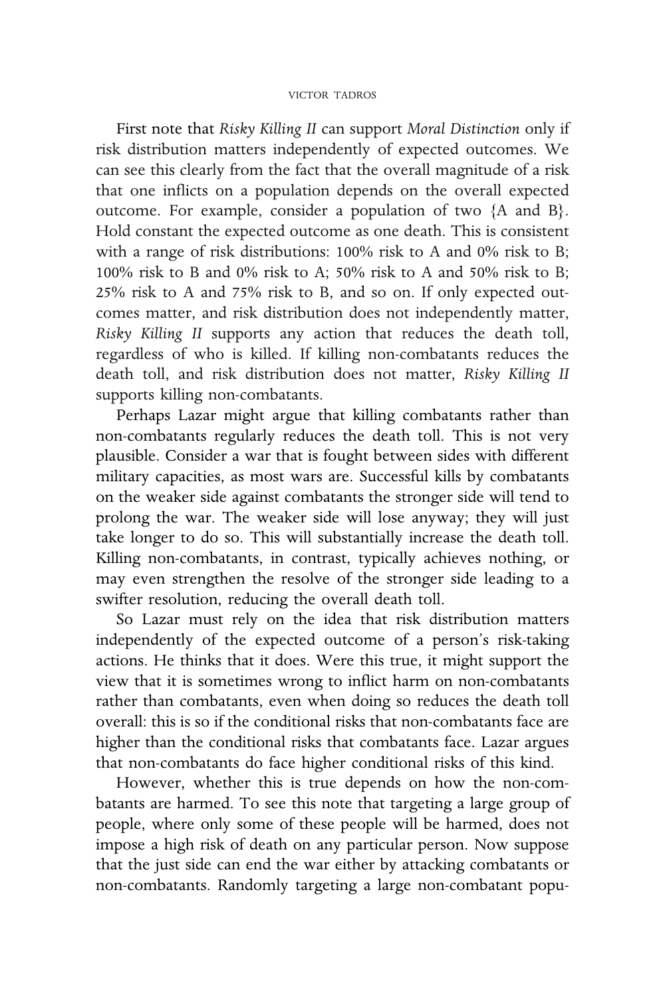First note that Risky Killing II can support Moral Distinction only if risk distribution matters independently of expected outcomes. We can see this clearly from the fact that the overall magnitude of a risk that one inflicts on a population depends on the overall expected outcome. For example, consider a population of two {A and B}. Hold constant the expected outcome as one death. This is consistent with a range of risk distributions: 100% risk to A and 0% risk to B; 100% risk to B and 0% risk to A; 50% risk to A and 50% risk to B; 25% risk to A and 75% risk to B, and so on. If only expected outcomes matter, and risk distribution does not independently matter, Risky Killing II supports any action that reduces the death toll, regardless of who is killed. If killing non-combatants reduces the death toll, and risk distribution does not matter, Risky Killing II supports killing non-combatants.

Perhaps Lazar might argue that killing combatants rather than non-combatants regularly reduces the death toll. This is not very plausible. Consider a war that is fought between sides with different military capacities, as most wars are. Successful kills by combatants on the weaker side against combatants the stronger side will tend to prolong the war. The weaker side will lose anyway; they will just take longer to do so. This will substantially increase the death toll. Killing non-combatants, in contrast, typically achieves nothing, or may even strengthen the resolve of the stronger side leading to a swifter resolution, reducing the overall death toll.

So Lazar must rely on the idea that risk distribution matters independently of the expected outcome of a person's risk-taking actions. He thinks that it does. Were this true, it might support the view that it is sometimes wrong to inflict harm on non-combatants rather than combatants, even when doing so reduces the death toll overall: this is so if the conditional risks that non-combatants face are higher than the conditional risks that combatants face. Lazar argues that non-combatants do face higher conditional risks of this kind.

However, whether this is true depends on how the non-combatants are harmed. To see this note that targeting a large group of people, where only some of these people will be harmed, does not impose a high risk of death on any particular person. Now suppose that the just side can end the war either by attacking combatants or non-combatants. Randomly targeting a large non-combatant popu-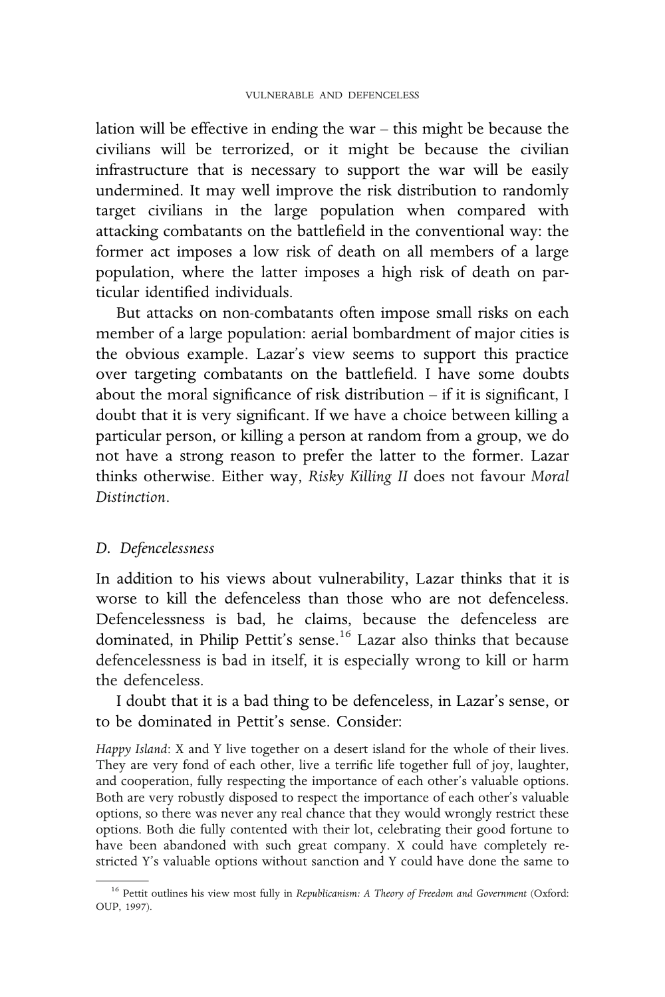lation will be effective in ending the war – this might be because the civilians will be terrorized, or it might be because the civilian infrastructure that is necessary to support the war will be easily undermined. It may well improve the risk distribution to randomly target civilians in the large population when compared with attacking combatants on the battlefield in the conventional way: the former act imposes a low risk of death on all members of a large population, where the latter imposes a high risk of death on particular identified individuals.

But attacks on non-combatants often impose small risks on each member of a large population: aerial bombardment of major cities is the obvious example. Lazar's view seems to support this practice over targeting combatants on the battlefield. I have some doubts about the moral significance of risk distribution – if it is significant, I doubt that it is very significant. If we have a choice between killing a particular person, or killing a person at random from a group, we do not have a strong reason to prefer the latter to the former. Lazar thinks otherwise. Either way, Risky Killing II does not favour Moral **Distinction** 

### D. Defencelessness

In addition to his views about vulnerability, Lazar thinks that it is worse to kill the defenceless than those who are not defenceless. Defencelessness is bad, he claims, because the defenceless are dominated, in Philip Pettit's sense.<sup>16</sup> Lazar also thinks that because defencelessness is bad in itself, it is especially wrong to kill or harm the defenceless.

I doubt that it is a bad thing to be defenceless, in Lazar's sense, or to be dominated in Pettit's sense. Consider:

Happy Island: X and Y live together on a desert island for the whole of their lives. They are very fond of each other, live a terrific life together full of joy, laughter, and cooperation, fully respecting the importance of each other's valuable options. Both are very robustly disposed to respect the importance of each other's valuable options, so there was never any real chance that they would wrongly restrict these options. Both die fully contented with their lot, celebrating their good fortune to have been abandoned with such great company. X could have completely restricted Y's valuable options without sanction and Y could have done the same to

<sup>&</sup>lt;sup>16</sup> Pettit outlines his view most fully in Republicanism: A Theory of Freedom and Government (Oxford: OUP, 1997).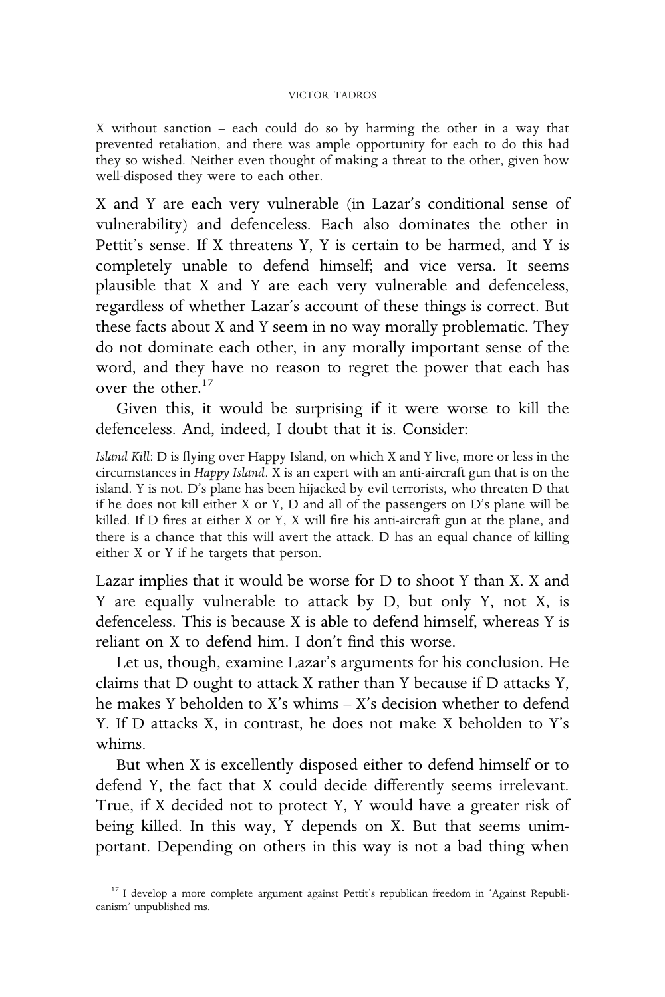X without sanction – each could do so by harming the other in a way that prevented retaliation, and there was ample opportunity for each to do this had they so wished. Neither even thought of making a threat to the other, given how well-disposed they were to each other.

X and Y are each very vulnerable (in Lazar's conditional sense of vulnerability) and defenceless. Each also dominates the other in Pettit's sense. If X threatens Y, Y is certain to be harmed, and Y is completely unable to defend himself; and vice versa. It seems plausible that X and Y are each very vulnerable and defenceless, regardless of whether Lazar's account of these things is correct. But these facts about X and Y seem in no way morally problematic. They do not dominate each other, in any morally important sense of the word, and they have no reason to regret the power that each has over the other.<sup>17</sup>

Given this, it would be surprising if it were worse to kill the defenceless. And, indeed, I doubt that it is. Consider:

Island Kill: D is flying over Happy Island, on which X and Y live, more or less in the circumstances in Happy Island. X is an expert with an anti-aircraft gun that is on the island. Y is not. D's plane has been hijacked by evil terrorists, who threaten D that if he does not kill either X or Y, D and all of the passengers on D's plane will be killed. If D fires at either X or Y, X will fire his anti-aircraft gun at the plane, and there is a chance that this will avert the attack. D has an equal chance of killing either X or Y if he targets that person.

Lazar implies that it would be worse for D to shoot Y than X. X and Y are equally vulnerable to attack by D, but only Y, not X, is defenceless. This is because X is able to defend himself, whereas Y is reliant on X to defend him. I don't find this worse.

Let us, though, examine Lazar's arguments for his conclusion. He claims that D ought to attack X rather than Y because if D attacks Y, he makes Y beholden to X's whims – X's decision whether to defend Y. If D attacks X, in contrast, he does not make X beholden to Y's whims.

But when X is excellently disposed either to defend himself or to defend Y, the fact that X could decide differently seems irrelevant. True, if X decided not to protect Y, Y would have a greater risk of being killed. In this way, Y depends on X. But that seems unimportant. Depending on others in this way is not a bad thing when

<sup>&</sup>lt;sup>17</sup> I develop a more complete argument against Pettit's republican freedom in 'Against Republicanism' unpublished ms.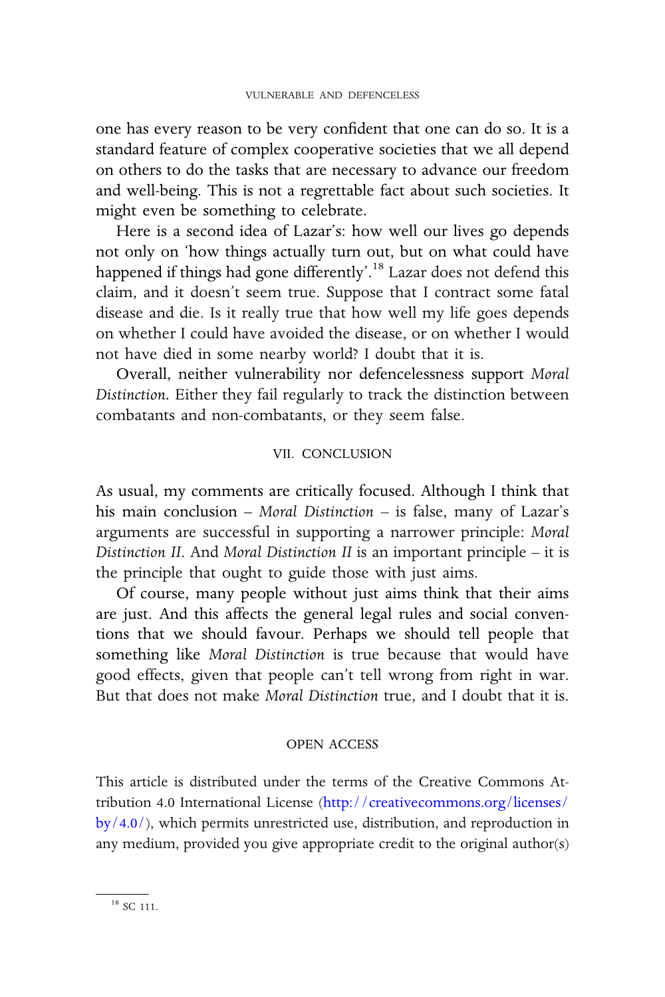one has every reason to be very confident that one can do so. It is a standard feature of complex cooperative societies that we all depend on others to do the tasks that are necessary to advance our freedom and well-being. This is not a regrettable fact about such societies. It might even be something to celebrate.

Here is a second idea of Lazar's: how well our lives go depends not only on 'how things actually turn out, but on what could have happened if things had gone differently'.<sup>18</sup> Lazar does not defend this claim, and it doesn't seem true. Suppose that I contract some fatal disease and die. Is it really true that how well my life goes depends on whether I could have avoided the disease, or on whether I would not have died in some nearby world? I doubt that it is.

Overall, neither vulnerability nor defencelessness support Moral Distinction. Either they fail regularly to track the distinction between combatants and non-combatants, or they seem false.

### VII. CONCLUSION

As usual, my comments are critically focused. Although I think that his main conclusion – Moral Distinction – is false, many of Lazar's arguments are successful in supporting a narrower principle: Moral Distinction II. And Moral Distinction II is an important principle – it is the principle that ought to guide those with just aims.

Of course, many people without just aims think that their aims are just. And this affects the general legal rules and social conventions that we should favour. Perhaps we should tell people that something like Moral Distinction is true because that would have good effects, given that people can't tell wrong from right in war. But that does not make Moral Distinction true, and I doubt that it is.

### OPEN ACCESS

This article is distributed under the terms of the Creative Commons Attribution 4.0 International License [\(http://creativecommons.org/licenses/](http://creativecommons.org/licenses/by/4.0/) [by/4.0/](http://creativecommons.org/licenses/by/4.0/)), which permits unrestricted use, distribution, and reproduction in any medium, provided you give appropriate credit to the original author(s)

<sup>&</sup>lt;sup>18</sup> SC 111.